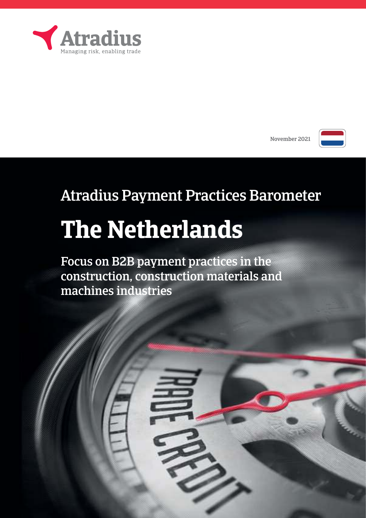

November 2021



# Atradius Payment Practices Barometer

# **The Netherlands**

Focus on B2B payment practices in the construction, construction materials and machines industries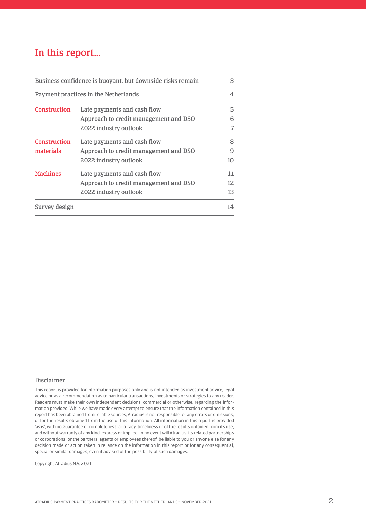## In this report…

| Business confidence is buoyant, but downside risks remain |                                       |    |
|-----------------------------------------------------------|---------------------------------------|----|
| Payment practices in the Netherlands                      |                                       | 4  |
| Construction                                              | Late payments and cash flow           | 5  |
|                                                           | Approach to credit management and DSO | 6  |
|                                                           | 2022 industry outlook                 |    |
| Construction                                              | Late payments and cash flow           | 8  |
| materials                                                 | Approach to credit management and DSO | 9  |
|                                                           | 2022 industry outlook                 | 10 |
| <b>Machines</b>                                           | Late payments and cash flow           | 11 |
|                                                           | Approach to credit management and DSO | 12 |
|                                                           | 2022 industry outlook                 | 13 |
| Survey design                                             |                                       | 14 |

### Disclaimer

This report is provided for information purposes only and is not intended as investment advice, legal advice or as a recommendation as to particular transactions, investments or strategies to any reader. Readers must make their own independent decisions, commercial or otherwise, regarding the information provided. While we have made every attempt to ensure that the information contained in this report has been obtained from reliable sources, Atradius is not responsible for any errors or omissions, or for the results obtained from the use of this information. All information in this report is provided 'as is', with no guarantee of completeness, accuracy, timeliness or of the results obtained from its use, and without warranty of any kind, express or implied. In no event will Atradius, its related partnerships or corporations, or the partners, agents or employees thereof, be liable to you or anyone else for any decision made or action taken in reliance on the information in this report or for any consequential, special or similar damages, even if advised of the possibility of such damages.

Copyright Atradius N.V. 2021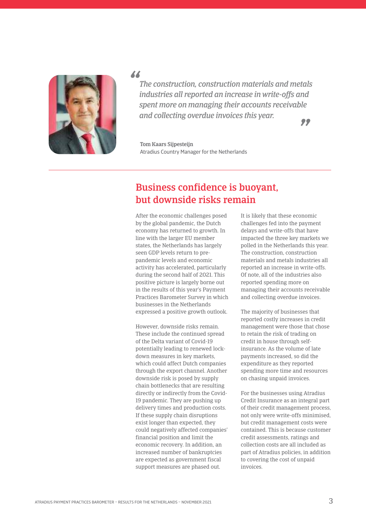

*"*

*The construction, construction materials and metals industries all reported an increase in write-offs and spent more on managing their accounts receivable and collecting overdue invoices this year.*

*"*

Tom Kaars Sijpesteijn Atradius Country manager for the Netherlands

## Business confidence is buoyant, but downside risks remain

After the economic challenges posed by the global pandemic, the Dutch economy has returned to growth. In line with the larger EU member states, the Netherlands has largely seen GDP levels return to prepandemic levels and economic activity has accelerated, particularly during the second half of 2021. This positive picture is largely borne out in the results of this year's Payment Practices Barometer Survey in which businesses in the Netherlands expressed a positive growth outlook.

However, downside risks remain. These include the continued spread of the Delta variant of Covid-19 potentially leading to renewed lockdown measures in key markets, which could affect Dutch companies through the export channel. Another downside risk is posed by supply chain bottlenecks that are resulting directly or indirectly from the Covid-19 pandemic. They are pushing up delivery times and production costs. If these supply chain disruptions exist longer than expected, they could negatively affected companies' financial position and limit the economic recovery. In addition, an increased number of bankruptcies are expected as government fiscal support measures are phased out.

It is likely that these economic challenges fed into the payment delays and write-offs that have impacted the three key markets we polled in the Netherlands this year. The construction, construction materials and metals industries all reported an increase in write-offs. Of note, all of the industries also reported spending more on managing their accounts receivable and collecting overdue invoices.

The majority of businesses that reported costly increases in credit management were those that chose to retain the risk of trading on credit in house through selfinsurance. As the volume of late payments increased, so did the expenditure as they reported spending more time and resources on chasing unpaid invoices.

For the businesses using Atradius Credit Insurance as an integral part of their credit management process, not only were write-offs minimised, but credit management costs were contained. This is because customer credit assessments, ratings and collection costs are all included as part of Atradius policies, in addition to covering the cost of unpaid invoices.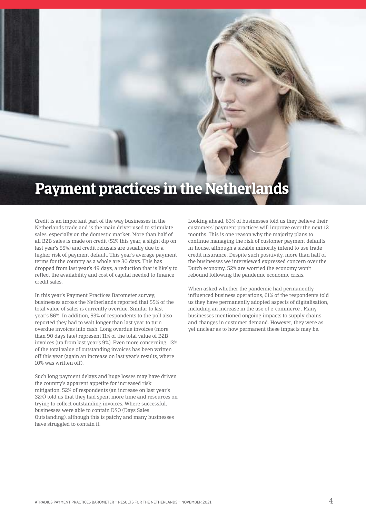# **Payment practices in the Netherlands**

Credit is an important part of the way businesses in the Netherlands trade and is the main driver used to stimulate sales, especially on the domestic market. More than half of all B2B sales is made on credit (51% this year, a slight dip on last year's 55%) and credit refusals are usually due to a higher risk of payment default. This year's average payment terms for the country as a whole are 30 days. This has dropped from last year's 49 days, a reduction that is likely to reflect the availability and cost of capital needed to finance credit sales.

In this year's Payment Practices Barometer survey, businesses across the Netherlands reported that 55% of the total value of sales is currently overdue. Similar to last year's 56%. In addition, 53% of respondents to the poll also reported they had to wait longer than last year to turn overdue invoices into cash. Long overdue invoices (more than 90 days late) represent 11% of the total value of B2B invoices (up from last year's 9%). Even more concerning, 13% of the total value of outstanding invoices has been written off this year (again an increase on last year's results, where 10% was written off).

Such long payment delays and huge losses may have driven the country's apparent appetite for increased risk mitigation. 52% of respondents (an increase on last year's 32%) told us that they had spent more time and resources on trying to collect outstanding invoices. Where successful, businesses were able to contain DSO (Days Sales Outstanding), although this is patchy and many businesses have struggled to contain it.

Looking ahead, 63% of businesses told us they believe their customers' payment practices will improve over the next 12 months. This is one reason why the majority plans to continue managing the risk of customer payment defaults in-house, although a sizable minority intend to use trade credit insurance. Despite such positivity, more than half of the businesses we interviewed expressed concern over the Dutch economy. 52% are worried the economy won't rebound following the pandemic economic crisis.

When asked whether the pandemic had permanently influenced business operations, 61% of the respondents told us they have permanently adopted aspects of digitalisation, including an increase in the use of e-commerce . Many businesses mentioned ongoing impacts to supply chains and changes in customer demand. However, they were as yet unclear as to how permanent these impacts may be.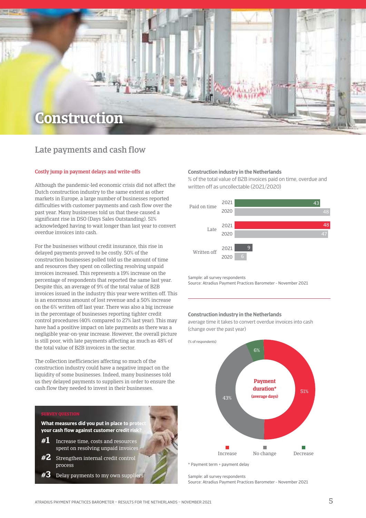

### Late payments and cash flow

### Costly jump in payment delays and write-offs

Although the pandemic-led economic crisis did not affect the Dutch construction industry to the same extent as other markets in Europe, a large number of businesses reported difficulties with customer payments and cash flow over the past year. Many businesses told us that these caused a significant rise in DSO (Days Sales Outstanding). 51% acknowledged having to wait longer than last year to convert overdue invoices into cash.

For the businesses without credit insurance, this rise in delayed payments proved to be costly. 50% of the construction businesses polled told us the amount of time and resources they spent on collecting resolving unpaid invoices increased. This represents a 19% increase on the percentage of respondents that reported the same last year. Despite this, an average of 9% of the total value of B2B invoices issued in the industry this year were written off. This is an enormous amount of lost revenue and a 50% increase on the 6% written off last year. There was also a big increase in the percentage of businesses reporting tighter credit control procedures (40% compared to 27% last year). This may have had a positive impact on late payments as there was a negligible year-on-year increase. However, the overall picture is still poor, with late payments affecting as much as 48% of the total value of B2B invoices in the sector.

The collection inefficiencies affecting so much of the construction industry could have a negative impact on the liquidity of some businesses. Indeed, many businesses told us they delayed payments to suppliers in order to ensure the cash flow they needed to invest in their businesses.



 $\pmb{\#3}$  Delay payments to my own suppliers

### **Construction industry in the Netherlands**

% of the total value of B2B invoices paid on time, overdue and written off as uncollectable (2021/2020)



sample: all survey respondents

source: Atradius Payment Practices Barometer - November 2021

### **Construction industry in the Netherlands**

average time it takes to convert overdue invoices into cash (change over the past year)

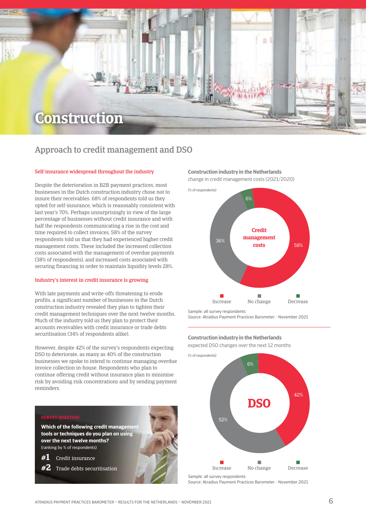

### Approach to credit management and DSO

### Self-insurance widespread throughout the industry

Despite the deterioration in B2B payment practices, most businesses in the Dutch construction industry chose not to insure their receivables. 68% of respondents told us they opted for self-insurance, which is reasonably consistent with last year's 70%. Perhaps unsurprisingly in view of the large percentage of businesses without credit insurance and with half the respondents communicating a rise in the cost and time required to collect invoices, 58% of the survey respondents told us that they had experienced higher credit management costs. These included the increased collection costs associated with the management of overdue payments (38% of respondents), and increased costs associated with securing financing in order to maintain liquidity levels 28%.

### Industry's interest in credit insurance is growing

With late payments and write-offs threatening to erode profits, a significant number of businesses in the Dutch construction industry revealed they plan to tighten their credit management techniques over the next twelve months. Much of the industry told us they plan to protect their accounts receivables with credit insurance or trade debts securitisation (34% of respondents alike).

However, despite 42% of the survey's respondents expecting DSO to deteriorate, as many as 40% of the construction businesses we spoke to intend to continue managing overdue invoice collection in-house. Respondents who plan to continue offering credit without insurance plan to minimise risk by avoiding risk concentrations and by sending payment reminders.

**Which of the following credit management tools or techniques do you plan on using over the next twelve months?** (ranking by % of respondents)

**#1** Credit insurance

**#2** Trade debts securitisation

### **Construction industry in the Netherlands**

change in credit management costs (2021/2020)



sample: all survey respondents source: Atradius Payment Practices Barometer - November 2021

### **Construction industry in the Netherlands**

expected DSO changes over the next 12 months



source: Atradius Payment Practices Barometer - November 2021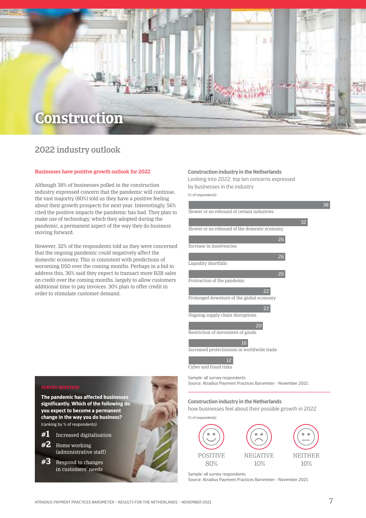## **Construction**

### 2022 industry outlook

### Businesses have positive growth outlook for 2022

Although 38% of businesses polled in the construction industry expressed concern that the pandemic will continue, the vast majority (80%) told us they have a positive feeling about their growth prospects for next year. Interestingly, 56% cited the positive impacts the pandemic has had. They plan to make use of technology, which they adopted during the pandemic, a permanent aspect of the way they do business moving forward.

However, 32% of the respondents told us they were concerned that the ongoing pandemic could negatively affect the domestic economy. This is consistent with predictions of worsening DSO over the coming months. Perhaps in a bid to address this, 36% said they expect to transact more B2B sales on credit over the coming months, largely to allow customers additional time to pay invoices. 30% plan to offer credit in order to stimulate customer demand.

### **Construction industry in the Netherlands**

looking into 2022: top ten concerns expressed by businesses in the industry

(% of respondents)



sample: all survey respondents source: Atradius Payment Practices Barometer - November 2021

#### **Construction industry in the Netherlands**

how businesses feel about their possible growth in 2022



sample: all survey respondents source: Atradius Payment Practices Barometer - November 2021



**The pandemic has affected businesses significantly. Which of the following do you expect to become a permanent change in the way you do business?**  (ranking by % of respondents)

- **#1** Increased digitalisation
- **#2** Home working (administrative staff)
- **#3** Respond to changes in customers' needs



ATRADIUS PAYMENT PRACTICES BAROMETER – RESULTS FOR THE NETHERLANDS – NOVEMBER 2021 7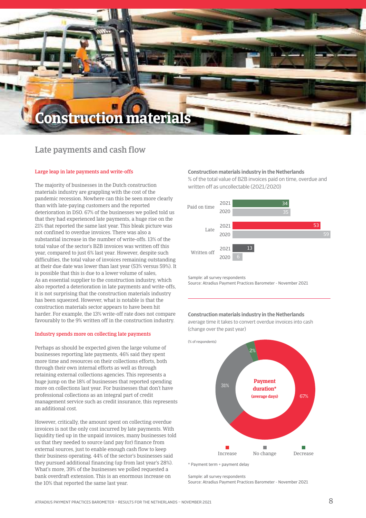## **Construction materials**

### Late payments and cash flow

### Large leap in late payments and write-offs

The majority of businesses in the Dutch construction materials industry are grappling with the cost of the pandemic recession. Nowhere can this be seen more clearly than with late-paying customers and the reported deterioration in DSO. 67% of the businesses we polled told us that they had experienced late payments, a huge rise on the 21% that reported the same last year. This bleak picture was not confined to overdue invoices. There was also a substantial increase in the number of write-offs. 13% of the total value of the sector's B2B invoices was written off this year, compared to just 6% last year. However, despite such difficulties, the total value of invoices remaining outstanding at their due date was lower than last year (53% versus 59%). It is possible that this is due to a lower volume of sales, As an essential supplier to the construction industry, which also reported a deterioration in late payments and write-offs, it is not surprising that the construction materials industry has been squeezed. However, what is notable is that the construction materials sector appears to have been hit harder. For example, the 13% write-off rate does not compare favourably to the 9% written off in the construction industry.

### Industry spends more on collecting late payments

Perhaps as should be expected given the large volume of businesses reporting late payments, 46% said they spent more time and resources on their collections efforts, both through their own internal efforts as well as through retaining external collections agencies. This represents a huge jump on the 18% of businesses that reported spending more on collections last year. For businesses that don't have professional collections as an integral part of credit management service such as credit insurance, this represents an additional cost.

However, critically, the amount spent on collecting overdue invoices is not the only cost incurred by late payments. With liquidity tied up in the unpaid invoices, many businesses told us that they needed to source (and pay for) finance from external sources, just to enable enough cash flow to keep their business operating. 44% of the sector's businesses said they pursued additional financing (up from last year's 28%). What's more, 39% of the businesses we polled requested a bank overdraft extension. This is an enormous increase on the 10% that reported the same last year.

### **Construction materials industry in the Netherlands**

% of the total value of B2B invoices paid on time, overdue and written off as uncollectable (2021/2020)



sample: all survey respondents source: Atradius Payment Practices Barometer - November 2021

#### **Construction materials industry in the Netherlands**

average time it takes to convert overdue invoices into cash (change over the past year)



\* Payment term + payment delay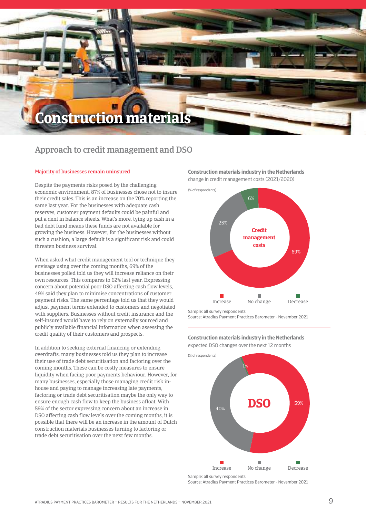## **Construction materials**

### Approach to credit management and DSO

### Majority of businesses remain uninsured

Despite the payments risks posed by the challenging economic environment, 87% of businesses chose not to insure their credit sales. This is an increase on the 70% reporting the same last year. For the businesses with adequate cash reserves, customer payment defaults could be painful and put a dent in balance sheets. What's more, tying up cash in a bad debt fund means these funds are not available for growing the business. However, for the businesses without such a cushion, a large default is a significant risk and could threaten business survival.

When asked what credit management tool or technique they envisage using over the coming months, 69% of the businesses polled told us they will increase reliance on their own resources. This compares to 62% last year. Expressing concern about potential poor DSO affecting cash flow levels, 49% said they plan to minimise concentrations of customer payment risks. The same percentage told us that they would adjust payment terms extended to customers and negotiated with suppliers. Businesses without credit insurance and the self-insured would have to rely on externally sourced and publicly available financial information when assessing the credit quality of their customers and prospects.

In addition to seeking external financing or extending overdrafts, many businesses told us they plan to increase their use of trade debt securitisation and factoring over the coming months. These can be costly measures to ensure liquidity when facing poor payments behaviour. However, for many businesses, especially those managing credit risk inhouse and paying to manage increasing late payments, factoring or trade debt securitisation maybe the only way to ensure enough cash flow to keep the business afloat. With 59% of the sector expressing concern about an increase in DSO affecting cash flow levels over the coming months, it is possible that there will be an increase in the amount of Dutch construction materials businesses turning to factoring or trade debt securitisation over the next few months.

**Construction materials industry in the Netherlands** change in credit management costs (2021/2020)



source: Atradius Payment Practices Barometer - November 2021

**Construction materials industry in the Netherlands** expected DSO changes over the next 12 months



source: Atradius Payment Practices Barometer - November 2021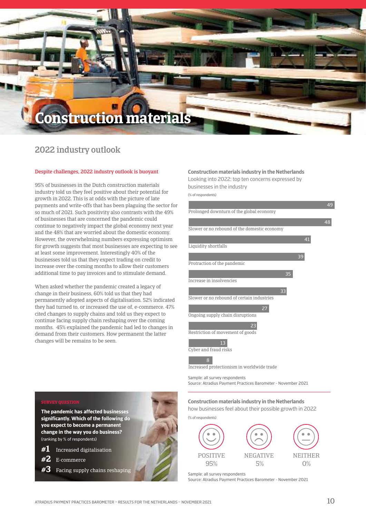## **Construction materials**

### 2022 industry outlook

#### Despite challenges, 2022 industry outlook is buoyant

95% of businesses in the Dutch construction materials industry told us they feel positive about their potential for growth in 2022. This is at odds with the picture of late payments and write-offs that has been plaguing the sector for so much of 2021. Such positivity also contrasts with the 49% of businesses that are concerned the pandemic could continue to negatively impact the global economy next year and the 48% that are worried about the domestic economy. However, the overwhelming numbers expressing optimism for growth suggests that most businesses are expecting to see at least some improvement. Interestingly 40% of the businesses told us that they expect trading on credit to increase over the coming months to allow their customers additional time to pay invoices and to stimulate demand.

When asked whether the pandemic created a legacy of change in their business, 60% told us that they had permanently adopted aspects of digitalisation. 52% indicated they had turned to, or increased the use of, e-commerce. 47% cited changes to supply chains and told us they expect to continue facing supply chain reshaping over the coming months. 45% explained the pandemic had led to changes in demand from their customers. How permanent the latter changes will be remains to be seen.

### **Construction materials industry in the Netherlands**

Looking into 2022: top ten concerns expressed by businesses in the industry

(% of respondents)



sample: all survey respondents source: Atradius Payment Practices Barometer - November 2021

**The pandemic has affected businesses significantly. Which of the following do you expect to become a permanent change in the way you do business?**  (ranking by % of respondents)

- **#1** Increased digitalisation
- **#2** E-commerce
- **#3** Facing supply chains reshaping

### **Construction materials industry in the Netherlands**

how businesses feel about their possible growth in 2022 (% of respondents)



**POSITIVE** 95%

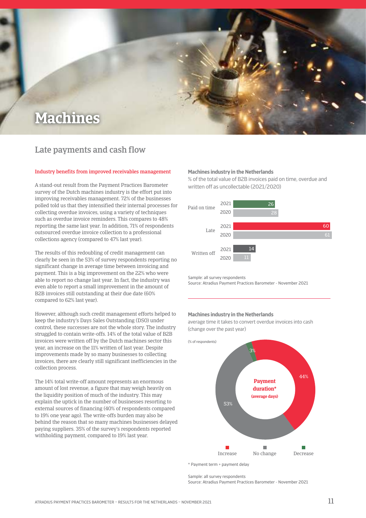

### Late payments and cash flow

#### Industry benefits from improved receivables management

A stand-out result from the Payment Practices Barometer survey of the Dutch machines industry is the effort put into improving receivables management. 72% of the businesses polled told us that they intensified their internal processes for collecting overdue invoices, using a variety of techniques such as overdue invoice reminders. This compares to 48% reporting the same last year. In addition, 71% of respondents outsourced overdue invoice collection to a professional collections agency (compared to 47% last year).

The results of this redoubling of credit management can clearly be seen in the 53% of survey respondents reporting no significant change in average time between invoicing and payment. This is a big improvement on the 22% who were able to report no change last year. In fact, the industry was even able to report a small improvement in the amount of B2B invoices still outstanding at their due date (60% compared to 62% last year).

However, although such credit management efforts helped to keep the industry's Days Sales Outstanding (DSO) under control, these successes are not the whole story. The industry struggled to contain write-offs. 14% of the total value of B2B invoices were written off by the Dutch machines sector this year, an increase on the 11% written of last year. Despite improvements made by so many businesses to collecting invoices, there are clearly still significant inefficiencies in the collection process.

The 14% total write-off amount represents an enormous amount of lost revenue, a figure that may weigh heavily on the liquidity position of much of the industry. This may explain the uptick in the number of businesses resorting to external sources of financing (40% of respondents compared to 19% one year ago). The write-offs burden may also be behind the reason that so many machines businesses delayed paying suppliers. 35% of the survey's respondents reported withholding payment, compared to 19% last year.

### **Machines industry in the Netherlands**

% of the total value of B2B invoices paid on time, overdue and written off as uncollectable (2021/2020)



sample: all survey respondents

source: Atradius Payment Practices Barometer - November 2021

#### **Machines industry in the Netherlands**

average time it takes to convert overdue invoices into cash (change over the past year)



\* Payment term + payment delay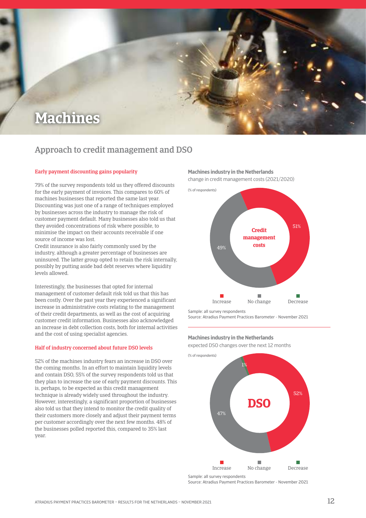

### Approach to credit management and DSO

### Early payment discounting gains popularity

79% of the survey respondents told us they offered discounts for the early payment of invoices. This compares to 60% of machines businesses that reported the same last year. Discounting was just one of a range of techniques employed by businesses across the industry to manage the risk of customer payment default. Many businesses also told us that they avoided concentrations of risk where possible, to minimise the impact on their accounts receivable if one source of income was lost.

Credit insurance is also fairly commonly used by the industry, although a greater percentage of businesses are uninsured. The latter group opted to retain the risk internally, possibly by putting aside bad debt reserves where liquidity levels allowed.

Interestingly, the businesses that opted for internal management of customer default risk told us that this has been costly. Over the past year they experienced a significant increase in administrative costs relating to the management of their credit departments, as well as the cost of acquiring customer credit information. Businesses also acknowledged an increase in debt collection costs, both for internal activities and the cost of using specialist agencies.

### Half of industry concerned about future DSO levels

52% of the machines industry fears an increase in DSO over the coming months. In an effort to maintain liquidity levels and contain DSO, 55% of the survey respondents told us that they plan to increase the use of early payment discounts. This is, perhaps, to be expected as this credit management technique is already widely used throughout the industry. However, interestingly, a significant proportion of businesses also told us that they intend to monitor the credit quality of their customers more closely and adjust their payment terms per customer accordingly over the next few months. 48% of the businesses polled reported this, compared to 35% last year.

### **Machines industry in the Netherlands**

change in credit management costs (2021/2020)



sample: all survey respondents source: Atradius Payment Practices Barometer - November 2021

#### **Machines industry in the Netherlands**

expected DSO changes over the next 12 months



source: Atradius Payment Practices Barometer - November 2021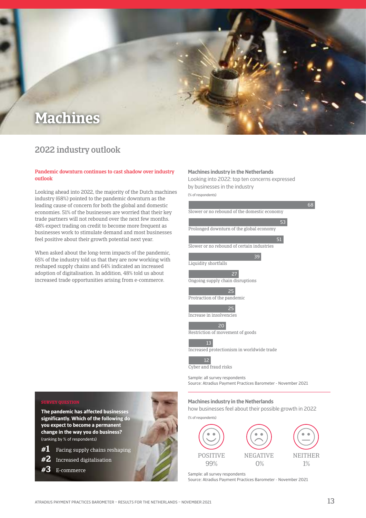

### 2022 industry outlook

### Pandemic downturn continues to cast shadow over industry outlook

Looking ahead into 2022, the majority of the Dutch machines industry (68%) pointed to the pandemic downturn as the leading cause of concern for both the global and domestic economies. 51% of the businesses are worried that their key trade partners will not rebound over the next few months. 48% expect trading on credit to become more frequent as businesses work to stimulate demand and most businesses feel positive about their growth potential next year.

When asked about the long-term impacts of the pandemic, 65% of the industry told us that they are now working with reshaped supply chains and 64% indicated an increased adoption of digitalisation. In addition, 48% told us about increased trade opportunities arising from e-commerce.

### **Machines industry in the Netherlands**

looking into 2022: top ten concerns expressed by businesses in the industry

(% of respondents)



### how businesses feel about their possible growth in 2022

(% of respondents)



sample: all survey respondents source: Atradius Payment Practices Barometer - November 2021

**The pandemic has affected businesses significantly. Which of the following do you expect to become a permanent change in the way you do business?**  (ranking by % of respondents)

- **#1** Facing supply chains reshaping
- **#2** Increased digitalisation
- **#3** E-commerce

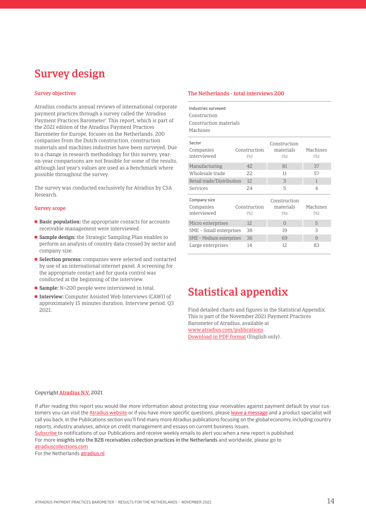## Survey design

#### Survey objectives

Atradius conducts annual reviews of international corporate payment practices through a survey called the 'Atradius Payment Practices Barometer'. This report, which is part of the 2021 edition of the Atradius Payment Practices Barometer for Europe, focuses on the Netherlands. 200 companies from the Dutch construction, construction materials and machines industries have been surveyed. Due to a change in research methodology for this survey, yearon-year comparisons are not feasible for some of the results, although last year's values are used as a benchmark where possible throughout the survey.

The survey was conducted exclusively for Atradius by CSA Research.

#### Survey scope

- **Basic population:** the appropriate contacts for accounts receivable management were interviewed.
- **Sample design:** the Strategic Sampling Plan enables to perform an analysis of country data crossed by sector and company size.
- **Selection process:** companies were selected and contacted by use of an international internet panel. A screening for the appropriate contact and for quota control was conducted at the beginning of the interview.
- **Sample:** N=200 people were interviewed in total.
- **Interview:** Computer Assisted Web Interviews (CAWI) of approximately 15 minutes duration. Interview period: Q3 2021.

### The Netherlands - total interviews 200

| Industries surveyed<br>Construction |              |              |              |  |  |
|-------------------------------------|--------------|--------------|--------------|--|--|
| Construction materials              |              |              |              |  |  |
| Machines                            |              |              |              |  |  |
| Sector                              |              | Construction |              |  |  |
| Companies                           | Construction | materials    | Machines     |  |  |
| interviewed                         | $(\%)$       | $(\%)$       | $(\%)$       |  |  |
| Manufacturing                       | 42           | 81           | 37           |  |  |
| Wholesale trade                     | 22           | 11           | 57           |  |  |
| Retail trade/Distribution           | 12           | 3            | $\mathbf{1}$ |  |  |
| Services                            | 24           | 5            | 4            |  |  |
| Company size                        |              | Construction |              |  |  |
| Companies                           | Construction | materials    | Machines     |  |  |
| interviewed                         | $(\%)$       | $(\%)$       | $(\%)$       |  |  |
| Micro enterprises                   | 12           | $\Omega$     | 5            |  |  |
| SME - Small enterprises             | 38           | 19           | 3            |  |  |
| SME - Medium enterprises            | 36           | 69           | 9            |  |  |
| Large enterprises                   | 14           | 12           | 83           |  |  |

## Statistical appendix

Find detailed charts and figures in the Statistical Appendix. This is part of the November 2021 Payment Practices Barometer of Atradius, available at [www.atradius.com/publications](https://group.atradius.com/publications/) [Download in PDF format](https://group.atradius.com/documents/ppb21_stat_app_we.pdf ) (English only).

#### Copyright [Atradius N.V.](https://group.atradius.com/) 2021

If after reading this report you would like more information about protecting your receivables against payment default by your customers you can visit the [Atradius website](https://group.atradius.com/) or if you have more specific questions, pleas[e leave a message](https://atradius.nl/contact/) and a product specialist will call you back. In the Publications section you'll find many more Atradius publications focusing on the global economy, including country reports, industry analyses, advice on credit management and essays on current business issues.

Subscribe to notifications of our Publications and receive weekly emails to alert you when a new report is published.

for more insights into the B2B receivables collection practices in the Netherlands and worldwide, please go to [atradiuscollections.com](https://atradiuscollections.com/global/)

For the Netherlands **atradius.nl**